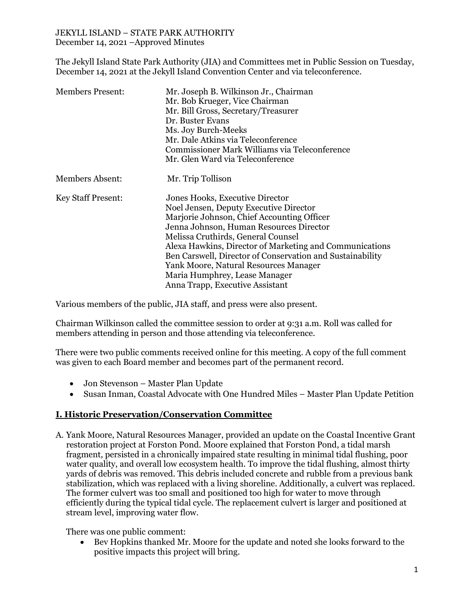The Jekyll Island State Park Authority (JIA) and Committees met in Public Session on Tuesday, December 14, 2021 at the Jekyll Island Convention Center and via teleconference.

| <b>Members Present:</b>   | Mr. Joseph B. Wilkinson Jr., Chairman<br>Mr. Bob Krueger, Vice Chairman<br>Mr. Bill Gross, Secretary/Treasurer<br>Dr. Buster Evans<br>Ms. Joy Burch-Meeks<br>Mr. Dale Atkins via Teleconference<br>Commissioner Mark Williams via Teleconference<br>Mr. Glen Ward via Teleconference                                                                                                                                                          |
|---------------------------|-----------------------------------------------------------------------------------------------------------------------------------------------------------------------------------------------------------------------------------------------------------------------------------------------------------------------------------------------------------------------------------------------------------------------------------------------|
| <b>Members Absent:</b>    | Mr. Trip Tollison                                                                                                                                                                                                                                                                                                                                                                                                                             |
| <b>Key Staff Present:</b> | Jones Hooks, Executive Director<br>Noel Jensen, Deputy Executive Director<br>Marjorie Johnson, Chief Accounting Officer<br>Jenna Johnson, Human Resources Director<br>Melissa Cruthirds, General Counsel<br>Alexa Hawkins, Director of Marketing and Communications<br>Ben Carswell, Director of Conservation and Sustainability<br>Yank Moore, Natural Resources Manager<br>Maria Humphrey, Lease Manager<br>Anna Trapp, Executive Assistant |

Various members of the public, JIA staff, and press were also present.

Chairman Wilkinson called the committee session to order at 9:31 a.m. Roll was called for members attending in person and those attending via teleconference.

There were two public comments received online for this meeting. A copy of the full comment was given to each Board member and becomes part of the permanent record.

- Jon Stevenson Master Plan Update
- Susan Inman, Coastal Advocate with One Hundred Miles Master Plan Update Petition

### **I. Historic Preservation/Conservation Committee**

A. Yank Moore, Natural Resources Manager, provided an update on the Coastal Incentive Grant restoration project at Forston Pond. Moore explained that Forston Pond, a tidal marsh fragment, persisted in a chronically impaired state resulting in minimal tidal flushing, poor water quality, and overall low ecosystem health. To improve the tidal flushing, almost thirty yards of debris was removed. This debris included concrete and rubble from a previous bank stabilization, which was replaced with a living shoreline. Additionally, a culvert was replaced. The former culvert was too small and positioned too high for water to move through efficiently during the typical tidal cycle. The replacement culvert is larger and positioned at stream level, improving water flow.

There was one public comment:

• Bev Hopkins thanked Mr. Moore for the update and noted she looks forward to the positive impacts this project will bring.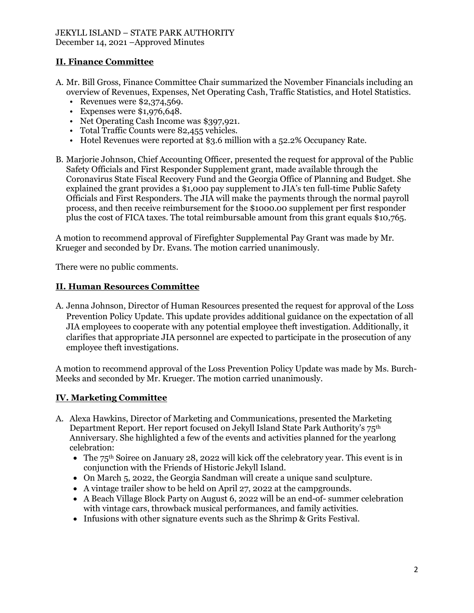# **II. Finance Committee**

- A. Mr. Bill Gross, Finance Committee Chair summarized the November Financials including an overview of Revenues, Expenses, Net Operating Cash, Traffic Statistics, and Hotel Statistics.
	- Revenues were \$2,374,569.
	- Expenses were \$1,976,648.
	- Net Operating Cash Income was \$397,921.
	- Total Traffic Counts were 82,455 vehicles.
	- Hotel Revenues were reported at \$3.6 million with a 52.2% Occupancy Rate.
- B. Marjorie Johnson, Chief Accounting Officer, presented the request for approval of the Public Safety Officials and First Responder Supplement grant, made available through the Coronavirus State Fiscal Recovery Fund and the Georgia Office of Planning and Budget. She explained the grant provides a \$1,000 pay supplement to JIA's ten full-time Public Safety Officials and First Responders. The JIA will make the payments through the normal payroll process, and then receive reimbursement for the \$1000.00 supplement per first responder plus the cost of FICA taxes. The total reimbursable amount from this grant equals \$10,765.

A motion to recommend approval of Firefighter Supplemental Pay Grant was made by Mr. Krueger and seconded by Dr. Evans. The motion carried unanimously.

There were no public comments.

### **II. Human Resources Committee**

A. Jenna Johnson, Director of Human Resources presented the request for approval of the Loss Prevention Policy Update. This update provides additional guidance on the expectation of all JIA employees to cooperate with any potential employee theft investigation. Additionally, it clarifies that appropriate JIA personnel are expected to participate in the prosecution of any employee theft investigations.

A motion to recommend approval of the Loss Prevention Policy Update was made by Ms. Burch-Meeks and seconded by Mr. Krueger. The motion carried unanimously.

## **IV. Marketing Committee**

- A. Alexa Hawkins, Director of Marketing and Communications, presented the Marketing Department Report. Her report focused on Jekyll Island State Park Authority's  $75<sup>th</sup>$ Anniversary. She highlighted a few of the events and activities planned for the yearlong celebration:
	- The  $75<sup>th</sup>$  Soiree on January 28, 2022 will kick off the celebratory year. This event is in conjunction with the Friends of Historic Jekyll Island.
	- On March 5, 2022, the Georgia Sandman will create a unique sand sculpture.
	- A vintage trailer show to be held on April 27, 2022 at the campgrounds.
	- A Beach Village Block Party on August 6, 2022 will be an end-of- summer celebration with vintage cars, throwback musical performances, and family activities.
	- Infusions with other signature events such as the Shrimp & Grits Festival.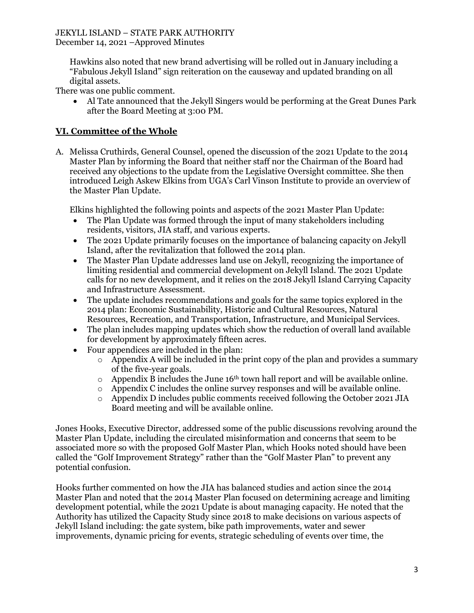Hawkins also noted that new brand advertising will be rolled out in January including a "Fabulous Jekyll Island" sign reiteration on the causeway and updated branding on all digital assets.

There was one public comment.

• Al Tate announced that the Jekyll Singers would be performing at the Great Dunes Park after the Board Meeting at 3:00 PM.

## **VI. Committee of the Whole**

A. Melissa Cruthirds, General Counsel, opened the discussion of the 2021 Update to the 2014 Master Plan by informing the Board that neither staff nor the Chairman of the Board had received any objections to the update from the Legislative Oversight committee. She then introduced Leigh Askew Elkins from UGA's Carl Vinson Institute to provide an overview of the Master Plan Update.

Elkins highlighted the following points and aspects of the 2021 Master Plan Update:

- The Plan Update was formed through the input of many stakeholders including residents, visitors, JIA staff, and various experts.
- The 2021 Update primarily focuses on the importance of balancing capacity on Jekyll Island, after the revitalization that followed the 2014 plan.
- The Master Plan Update addresses land use on Jekyll, recognizing the importance of limiting residential and commercial development on Jekyll Island. The 2021 Update calls for no new development, and it relies on the 2018 Jekyll Island Carrying Capacity and Infrastructure Assessment.
- The update includes recommendations and goals for the same topics explored in the 2014 plan: Economic Sustainability, Historic and Cultural Resources, Natural Resources, Recreation, and Transportation, Infrastructure, and Municipal Services.
- The plan includes mapping updates which show the reduction of overall land available for development by approximately fifteen acres.
- Four appendices are included in the plan:
	- $\circ$  Appendix A will be included in the print copy of the plan and provides a summary of the five-year goals.
	- $\circ$  Appendix B includes the June 16<sup>th</sup> town hall report and will be available online.
	- $\circ$  Appendix C includes the online survey responses and will be available online.
	- o Appendix D includes public comments received following the October 2021 JIA Board meeting and will be available online.

Jones Hooks, Executive Director, addressed some of the public discussions revolving around the Master Plan Update, including the circulated misinformation and concerns that seem to be associated more so with the proposed Golf Master Plan, which Hooks noted should have been called the "Golf Improvement Strategy" rather than the "Golf Master Plan" to prevent any potential confusion.

Hooks further commented on how the JIA has balanced studies and action since the 2014 Master Plan and noted that the 2014 Master Plan focused on determining acreage and limiting development potential, while the 2021 Update is about managing capacity. He noted that the Authority has utilized the Capacity Study since 2018 to make decisions on various aspects of Jekyll Island including: the gate system, bike path improvements, water and sewer improvements, dynamic pricing for events, strategic scheduling of events over time, the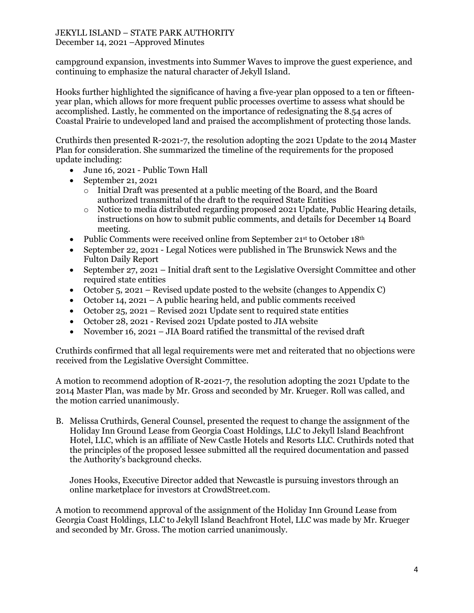campground expansion, investments into Summer Waves to improve the guest experience, and continuing to emphasize the natural character of Jekyll Island.

Hooks further highlighted the significance of having a five-year plan opposed to a ten or fifteenyear plan, which allows for more frequent public processes overtime to assess what should be accomplished. Lastly, he commented on the importance of redesignating the 8.54 acres of Coastal Prairie to undeveloped land and praised the accomplishment of protecting those lands.

Cruthirds then presented R-2021-7, the resolution adopting the 2021 Update to the 2014 Master Plan for consideration. She summarized the timeline of the requirements for the proposed update including:

- June 16, 2021 Public Town Hall
- September 21, 2021
	- o Initial Draft was presented at a public meeting of the Board, and the Board authorized transmittal of the draft to the required State Entities
	- o Notice to media distributed regarding proposed 2021 Update, Public Hearing details, instructions on how to submit public comments, and details for December 14 Board meeting.
- Public Comments were received online from September 21st to October 18<sup>th</sup>
- September 22, 2021 Legal Notices were published in The Brunswick News and the Fulton Daily Report
- September 27, 2021 Initial draft sent to the Legislative Oversight Committee and other required state entities
- October 5, 2021 Revised update posted to the website (changes to Appendix C)
- October 14, 2021 A public hearing held, and public comments received
- October 25, 2021 Revised 2021 Update sent to required state entities
- October 28, 2021 Revised 2021 Update posted to JIA website
- November 16, 2021 JIA Board ratified the transmittal of the revised draft

Cruthirds confirmed that all legal requirements were met and reiterated that no objections were received from the Legislative Oversight Committee.

A motion to recommend adoption of R-2021-7, the resolution adopting the 2021 Update to the 2014 Master Plan, was made by Mr. Gross and seconded by Mr. Krueger. Roll was called, and the motion carried unanimously.

B. Melissa Cruthirds, General Counsel, presented the request to change the assignment of the Holiday Inn Ground Lease from Georgia Coast Holdings, LLC to Jekyll Island Beachfront Hotel, LLC, which is an affiliate of New Castle Hotels and Resorts LLC. Cruthirds noted that the principles of the proposed lessee submitted all the required documentation and passed the Authority's background checks.

Jones Hooks, Executive Director added that Newcastle is pursuing investors through an online marketplace for investors at CrowdStreet.com.

A motion to recommend approval of the assignment of the Holiday Inn Ground Lease from Georgia Coast Holdings, LLC to Jekyll Island Beachfront Hotel, LLC was made by Mr. Krueger and seconded by Mr. Gross. The motion carried unanimously.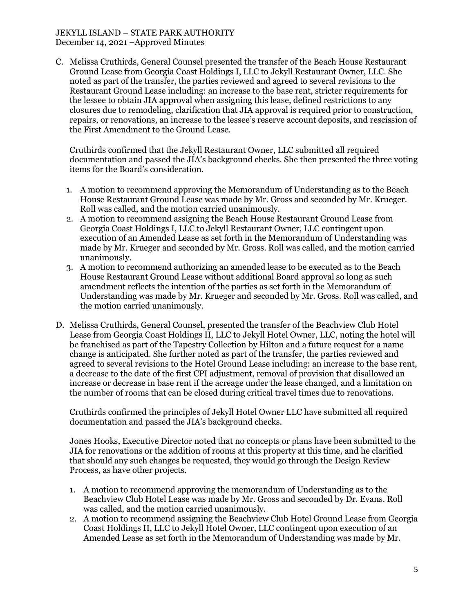C. Melissa Cruthirds, General Counsel presented the transfer of the Beach House Restaurant Ground Lease from Georgia Coast Holdings I, LLC to Jekyll Restaurant Owner, LLC. She noted as part of the transfer, the parties reviewed and agreed to several revisions to the Restaurant Ground Lease including: an increase to the base rent, stricter requirements for the lessee to obtain JIA approval when assigning this lease, defined restrictions to any closures due to remodeling, clarification that JIA approval is required prior to construction, repairs, or renovations, an increase to the lessee's reserve account deposits, and rescission of the First Amendment to the Ground Lease.

Cruthirds confirmed that the Jekyll Restaurant Owner, LLC submitted all required documentation and passed the JIA's background checks. She then presented the three voting items for the Board's consideration.

- 1. A motion to recommend approving the Memorandum of Understanding as to the Beach House Restaurant Ground Lease was made by Mr. Gross and seconded by Mr. Krueger. Roll was called, and the motion carried unanimously.
- 2. A motion to recommend assigning the Beach House Restaurant Ground Lease from Georgia Coast Holdings I, LLC to Jekyll Restaurant Owner, LLC contingent upon execution of an Amended Lease as set forth in the Memorandum of Understanding was made by Mr. Krueger and seconded by Mr. Gross. Roll was called, and the motion carried unanimously.
- 3. A motion to recommend authorizing an amended lease to be executed as to the Beach House Restaurant Ground Lease without additional Board approval so long as such amendment reflects the intention of the parties as set forth in the Memorandum of Understanding was made by Mr. Krueger and seconded by Mr. Gross. Roll was called, and the motion carried unanimously.
- D. Melissa Cruthirds, General Counsel, presented the transfer of the Beachview Club Hotel Lease from Georgia Coast Holdings II, LLC to Jekyll Hotel Owner, LLC, noting the hotel will be franchised as part of the Tapestry Collection by Hilton and a future request for a name change is anticipated. She further noted as part of the transfer, the parties reviewed and agreed to several revisions to the Hotel Ground Lease including: an increase to the base rent, a decrease to the date of the first CPI adjustment, removal of provision that disallowed an increase or decrease in base rent if the acreage under the lease changed, and a limitation on the number of rooms that can be closed during critical travel times due to renovations.

Cruthirds confirmed the principles of Jekyll Hotel Owner LLC have submitted all required documentation and passed the JIA's background checks.

Jones Hooks, Executive Director noted that no concepts or plans have been submitted to the JIA for renovations or the addition of rooms at this property at this time, and he clarified that should any such changes be requested, they would go through the Design Review Process, as have other projects.

- 1. A motion to recommend approving the memorandum of Understanding as to the Beachview Club Hotel Lease was made by Mr. Gross and seconded by Dr. Evans. Roll was called, and the motion carried unanimously.
- 2. A motion to recommend assigning the Beachview Club Hotel Ground Lease from Georgia Coast Holdings II, LLC to Jekyll Hotel Owner, LLC contingent upon execution of an Amended Lease as set forth in the Memorandum of Understanding was made by Mr.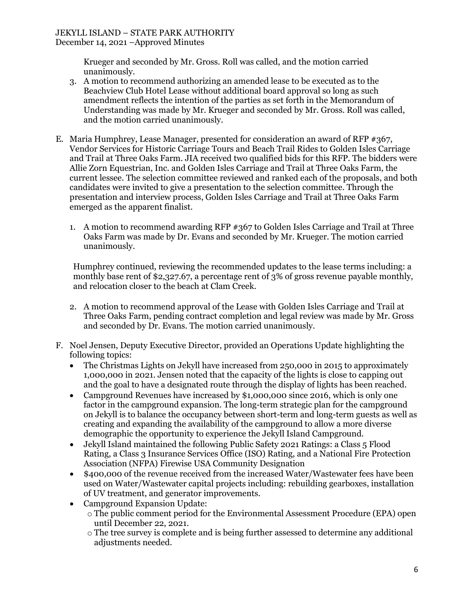Krueger and seconded by Mr. Gross. Roll was called, and the motion carried unanimously.

- 3. A motion to recommend authorizing an amended lease to be executed as to the Beachview Club Hotel Lease without additional board approval so long as such amendment reflects the intention of the parties as set forth in the Memorandum of Understanding was made by Mr. Krueger and seconded by Mr. Gross. Roll was called, and the motion carried unanimously.
- E. Maria Humphrey, Lease Manager, presented for consideration an award of RFP #367, Vendor Services for Historic Carriage Tours and Beach Trail Rides to Golden Isles Carriage and Trail at Three Oaks Farm. JIA received two qualified bids for this RFP. The bidders were Allie Zorn Equestrian, Inc. and Golden Isles Carriage and Trail at Three Oaks Farm, the current lessee. The selection committee reviewed and ranked each of the proposals, and both candidates were invited to give a presentation to the selection committee. Through the presentation and interview process, Golden Isles Carriage and Trail at Three Oaks Farm emerged as the apparent finalist.
	- 1. A motion to recommend awarding RFP #367 to Golden Isles Carriage and Trail at Three Oaks Farm was made by Dr. Evans and seconded by Mr. Krueger. The motion carried unanimously.

Humphrey continued, reviewing the recommended updates to the lease terms including: a monthly base rent of \$2,327.67, a percentage rent of 3% of gross revenue payable monthly, and relocation closer to the beach at Clam Creek.

- 2. A motion to recommend approval of the Lease with Golden Isles Carriage and Trail at Three Oaks Farm, pending contract completion and legal review was made by Mr. Gross and seconded by Dr. Evans. The motion carried unanimously.
- F. Noel Jensen, Deputy Executive Director, provided an Operations Update highlighting the following topics:
	- The Christmas Lights on Jekyll have increased from 250,000 in 2015 to approximately 1,000,000 in 2021. Jensen noted that the capacity of the lights is close to capping out and the goal to have a designated route through the display of lights has been reached.
	- Campground Revenues have increased by \$1,000,000 since 2016, which is only one factor in the campground expansion. The long-term strategic plan for the campground on Jekyll is to balance the occupancy between short-term and long-term guests as well as creating and expanding the availability of the campground to allow a more diverse demographic the opportunity to experience the Jekyll Island Campground.
	- Jekyll Island maintained the following Public Safety 2021 Ratings: a Class 5 Flood Rating, a Class 3 Insurance Services Office (ISO) Rating, and a National Fire Protection Association (NFPA) Firewise USA Community Designation
	- \$400,000 of the revenue received from the increased Water/Wastewater fees have been used on Water/Wastewater capital projects including: rebuilding gearboxes, installation of UV treatment, and generator improvements.
	- Campground Expansion Update:
		- o The public comment period for the Environmental Assessment Procedure (EPA) open until December 22, 2021.
		- o The tree survey is complete and is being further assessed to determine any additional adjustments needed.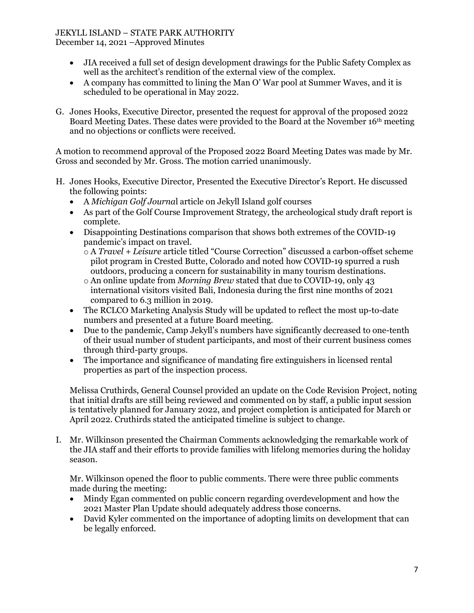# JEKYLL ISLAND – STATE PARK AUTHORITY

December 14, 2021 –Approved Minutes

- JIA received a full set of design development drawings for the Public Safety Complex as well as the architect's rendition of the external view of the complex.
- A company has committed to lining the Man O' War pool at Summer Waves, and it is scheduled to be operational in May 2022.
- G. Jones Hooks, Executive Director, presented the request for approval of the proposed 2022 Board Meeting Dates. These dates were provided to the Board at the November 16th meeting and no objections or conflicts were received.

A motion to recommend approval of the Proposed 2022 Board Meeting Dates was made by Mr. Gross and seconded by Mr. Gross. The motion carried unanimously.

- H. Jones Hooks, Executive Director, Presented the Executive Director's Report. He discussed the following points:
	- A *Michigan Golf Journa*l article on Jekyll Island golf courses
	- As part of the Golf Course Improvement Strategy, the archeological study draft report is complete.
	- Disappointing Destinations comparison that shows both extremes of the COVID-19 pandemic's impact on travel.
		- o A *Travel + Leisure* article titled "Course Correction" discussed a carbon-offset scheme pilot program in Crested Butte, Colorado and noted how COVID-19 spurred a rush outdoors, producing a concern for sustainability in many tourism destinations.
		- o An online update from *Morning Brew* stated that due to COVID-19, only 43 international visitors visited Bali, Indonesia during the first nine months of 2021 compared to 6.3 million in 2019.
	- The RCLCO Marketing Analysis Study will be updated to reflect the most up-to-date numbers and presented at a future Board meeting.
	- Due to the pandemic, Camp Jekyll's numbers have significantly decreased to one-tenth of their usual number of student participants, and most of their current business comes through third-party groups.
	- The importance and significance of mandating fire extinguishers in licensed rental properties as part of the inspection process.

Melissa Cruthirds, General Counsel provided an update on the Code Revision Project, noting that initial drafts are still being reviewed and commented on by staff, a public input session is tentatively planned for January 2022, and project completion is anticipated for March or April 2022. Cruthirds stated the anticipated timeline is subject to change.

I. Mr. Wilkinson presented the Chairman Comments acknowledging the remarkable work of the JIA staff and their efforts to provide families with lifelong memories during the holiday season.

Mr. Wilkinson opened the floor to public comments. There were three public comments made during the meeting:

- Mindy Egan commented on public concern regarding overdevelopment and how the 2021 Master Plan Update should adequately address those concerns.
- David Kyler commented on the importance of adopting limits on development that can be legally enforced.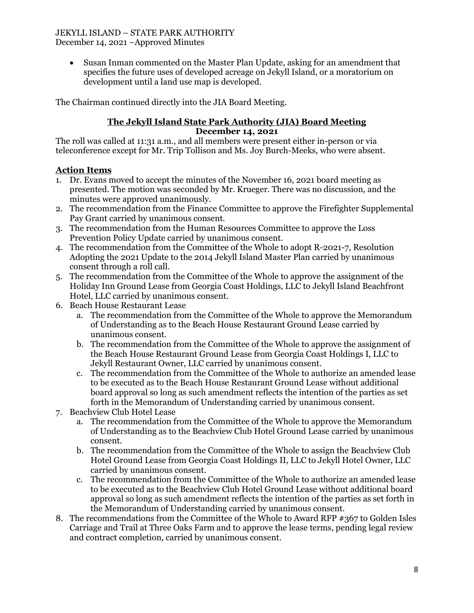• Susan Inman commented on the Master Plan Update, asking for an amendment that specifies the future uses of developed acreage on Jekyll Island, or a moratorium on development until a land use map is developed.

The Chairman continued directly into the JIA Board Meeting.

#### **The Jekyll Island State Park Authority (JIA) Board Meeting December 14, 2021**

The roll was called at 11:31 a.m., and all members were present either in-person or via teleconference except for Mr. Trip Tollison and Ms. Joy Burch-Meeks, who were absent.

## **Action Items**

- 1. Dr. Evans moved to accept the minutes of the November 16, 2021 board meeting as presented. The motion was seconded by Mr. Krueger. There was no discussion, and the minutes were approved unanimously.
- 2. The recommendation from the Finance Committee to approve the Firefighter Supplemental Pay Grant carried by unanimous consent.
- 3. The recommendation from the Human Resources Committee to approve the Loss Prevention Policy Update carried by unanimous consent.
- 4. The recommendation from the Committee of the Whole to adopt R-2021-7, Resolution Adopting the 2021 Update to the 2014 Jekyll Island Master Plan carried by unanimous consent through a roll call.
- 5. The recommendation from the Committee of the Whole to approve the assignment of the Holiday Inn Ground Lease from Georgia Coast Holdings, LLC to Jekyll Island Beachfront Hotel, LLC carried by unanimous consent.
- 6. Beach House Restaurant Lease
	- a. The recommendation from the Committee of the Whole to approve the Memorandum of Understanding as to the Beach House Restaurant Ground Lease carried by unanimous consent.
	- b. The recommendation from the Committee of the Whole to approve the assignment of the Beach House Restaurant Ground Lease from Georgia Coast Holdings I, LLC to Jekyll Restaurant Owner, LLC carried by unanimous consent.
	- c. The recommendation from the Committee of the Whole to authorize an amended lease to be executed as to the Beach House Restaurant Ground Lease without additional board approval so long as such amendment reflects the intention of the parties as set forth in the Memorandum of Understanding carried by unanimous consent.
- 7. Beachview Club Hotel Lease
	- a. The recommendation from the Committee of the Whole to approve the Memorandum of Understanding as to the Beachview Club Hotel Ground Lease carried by unanimous consent.
	- b. The recommendation from the Committee of the Whole to assign the Beachview Club Hotel Ground Lease from Georgia Coast Holdings II, LLC to Jekyll Hotel Owner, LLC carried by unanimous consent.
	- c. The recommendation from the Committee of the Whole to authorize an amended lease to be executed as to the Beachview Club Hotel Ground Lease without additional board approval so long as such amendment reflects the intention of the parties as set forth in the Memorandum of Understanding carried by unanimous consent.
- 8. The recommendations from the Committee of the Whole to Award RFP #367 to Golden Isles Carriage and Trail at Three Oaks Farm and to approve the lease terms, pending legal review and contract completion, carried by unanimous consent.